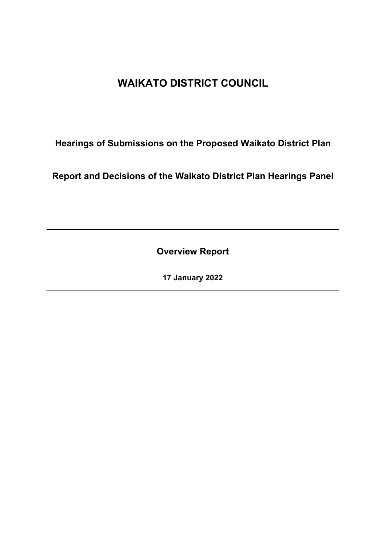# **WAIKATO DISTRICT COUNCIL**

**Hearings of Submissions on the Proposed Waikato District Plan**

**Report and Decisions of the Waikato District Plan Hearings Panel**

**Overview Report**

**17 January 2022**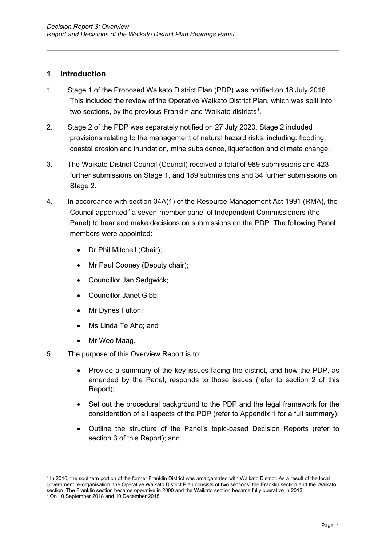#### **1 Introduction**

- 1. Stage 1 of the Proposed Waikato District Plan (PDP) was notified on 18 July 2018. This included the review of the Operative Waikato District Plan, which was split into two sections, by the previous Franklin and Waikato districts $^{\rm 1}.$
- 2. Stage 2 of the PDP was separately notified on 27 July 2020. Stage 2 included provisions relating to the management of natural hazard risks, including: flooding, coastal erosion and inundation, mine subsidence, liquefaction and climate change.
- 3. The Waikato District Council (Council) received a total of 989 submissions and 423 further submissions on Stage 1, and 189 submissions and 34 further submissions on Stage 2.
- 4. In accordance with section 34A(1) of the Resource Management Act 1991 (RMA), the Council appointed<sup>[2](#page-1-1)</sup> a seven-member panel of Independent Commissioners (the Panel) to hear and make decisions on submissions on the PDP. The following Panel members were appointed:
	- Dr Phil Mitchell (Chair);
	- Mr Paul Cooney (Deputy chair);
	- Councillor Jan Sedgwick;
	- Councillor Janet Gibb;
	- Mr Dynes Fulton;
	- Ms Linda Te Aho; and
	- Mr Weo Maag.
- 5. The purpose of this Overview Report is to:
	- Provide a summary of the key issues facing the district, and how the PDP, as amended by the Panel, responds to those issues (refer to section 2 of this Report);
	- Set out the procedural background to the PDP and the legal framework for the consideration of all aspects of the PDP (refer to Appendix 1 for a full summary);
	- Outline the structure of the Panel's topic-based Decision Reports (refer to section 3 of this Report); and

<span id="page-1-1"></span><span id="page-1-0"></span><sup>1</sup> In 2010, the southern portion of the former Franklin District was amalgamated with Waikato District. As a result of the local government re-organisation, the Operative Waikato District Plan consists of two sections: the Franklin section and the Waikato section. The Franklin section became operative in 2000 and the Waikato section became fully operative in 2013. 2 On 10 September 2018 and 10 December 2018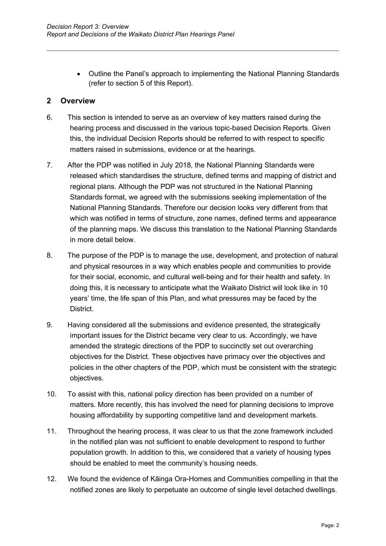• Outline the Panel's approach to implementing the National Planning Standards (refer to section 5 of this Report).

## **2 Overview**

- 6. This section is intended to serve as an overview of key matters raised during the hearing process and discussed in the various topic-based Decision Reports. Given this, the individual Decision Reports should be referred to with respect to specific matters raised in submissions, evidence or at the hearings.
- 7. After the PDP was notified in July 2018, the National Planning Standards were released which standardises the structure, defined terms and mapping of district and regional plans. Although the PDP was not structured in the National Planning Standards format, we agreed with the submissions seeking implementation of the National Planning Standards. Therefore our decision looks very different from that which was notified in terms of structure, zone names, defined terms and appearance of the planning maps. We discuss this translation to the National Planning Standards in more detail below.
- 8. The purpose of the PDP is to manage the use, development, and protection of natural and physical resources in a way which enables people and communities to provide for their social, economic, and cultural well-being and for their health and safety. In doing this, it is necessary to anticipate what the Waikato District will look like in 10 years' time, the life span of this Plan, and what pressures may be faced by the District.
- 9. Having considered all the submissions and evidence presented, the strategically important issues for the District became very clear to us. Accordingly, we have amended the strategic directions of the PDP to succinctly set out overarching objectives for the District. These objectives have primacy over the objectives and policies in the other chapters of the PDP, which must be consistent with the strategic objectives.
- 10. To assist with this, national policy direction has been provided on a number of matters. More recently, this has involved the need for planning decisions to improve housing affordability by supporting competitive land and development markets.
- 11. Throughout the hearing process, it was clear to us that the zone framework included in the notified plan was not sufficient to enable development to respond to further population growth. In addition to this, we considered that a variety of housing types should be enabled to meet the community's housing needs.
- 12. We found the evidence of Kāinga Ora-Homes and Communities compelling in that the notified zones are likely to perpetuate an outcome of single level detached dwellings.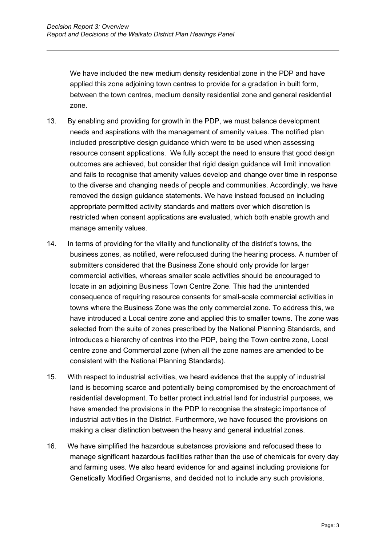We have included the new medium density residential zone in the PDP and have applied this zone adjoining town centres to provide for a gradation in built form, between the town centres, medium density residential zone and general residential zone.

- 13. By enabling and providing for growth in the PDP, we must balance development needs and aspirations with the management of amenity values. The notified plan included prescriptive design guidance which were to be used when assessing resource consent applications. We fully accept the need to ensure that good design outcomes are achieved, but consider that rigid design guidance will limit innovation and fails to recognise that amenity values develop and change over time in response to the diverse and changing needs of people and communities. Accordingly, we have removed the design guidance statements. We have instead focused on including appropriate permitted activity standards and matters over which discretion is restricted when consent applications are evaluated, which both enable growth and manage amenity values.
- 14. In terms of providing for the vitality and functionality of the district's towns, the business zones, as notified, were refocused during the hearing process. A number of submitters considered that the Business Zone should only provide for larger commercial activities, whereas smaller scale activities should be encouraged to locate in an adjoining Business Town Centre Zone. This had the unintended consequence of requiring resource consents for small-scale commercial activities in towns where the Business Zone was the only commercial zone. To address this, we have introduced a Local centre zone and applied this to smaller towns. The zone was selected from the suite of zones prescribed by the National Planning Standards, and introduces a hierarchy of centres into the PDP, being the Town centre zone, Local centre zone and Commercial zone (when all the zone names are amended to be consistent with the National Planning Standards).
- 15. With respect to industrial activities, we heard evidence that the supply of industrial land is becoming scarce and potentially being compromised by the encroachment of residential development. To better protect industrial land for industrial purposes, we have amended the provisions in the PDP to recognise the strategic importance of industrial activities in the District. Furthermore, we have focused the provisions on making a clear distinction between the heavy and general industrial zones.
- 16. We have simplified the hazardous substances provisions and refocused these to manage significant hazardous facilities rather than the use of chemicals for every day and farming uses. We also heard evidence for and against including provisions for Genetically Modified Organisms, and decided not to include any such provisions.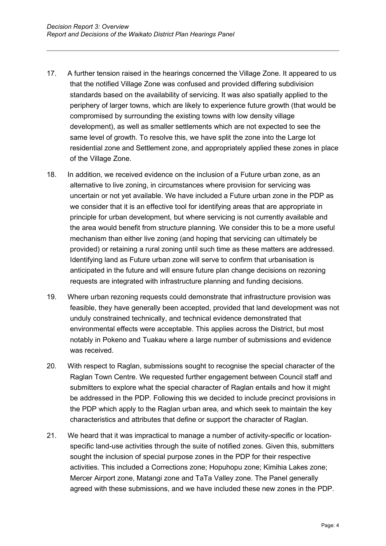- 17. A further tension raised in the hearings concerned the Village Zone. It appeared to us that the notified Village Zone was confused and provided differing subdivision standards based on the availability of servicing. It was also spatially applied to the periphery of larger towns, which are likely to experience future growth (that would be compromised by surrounding the existing towns with low density village development), as well as smaller settlements which are not expected to see the same level of growth. To resolve this, we have split the zone into the Large lot residential zone and Settlement zone, and appropriately applied these zones in place of the Village Zone.
- 18. In addition, we received evidence on the inclusion of a Future urban zone, as an alternative to live zoning, in circumstances where provision for servicing was uncertain or not yet available. We have included a Future urban zone in the PDP as we consider that it is an effective tool for identifying areas that are appropriate in principle for urban development, but where servicing is not currently available and the area would benefit from structure planning. We consider this to be a more useful mechanism than either live zoning (and hoping that servicing can ultimately be provided) or retaining a rural zoning until such time as these matters are addressed. Identifying land as Future urban zone will serve to confirm that urbanisation is anticipated in the future and will ensure future plan change decisions on rezoning requests are integrated with infrastructure planning and funding decisions.
- 19. Where urban rezoning requests could demonstrate that infrastructure provision was feasible, they have generally been accepted, provided that land development was not unduly constrained technically, and technical evidence demonstrated that environmental effects were acceptable. This applies across the District, but most notably in Pokeno and Tuakau where a large number of submissions and evidence was received.
- 20. With respect to Raglan, submissions sought to recognise the special character of the Raglan Town Centre. We requested further engagement between Council staff and submitters to explore what the special character of Raglan entails and how it might be addressed in the PDP. Following this we decided to include precinct provisions in the PDP which apply to the Raglan urban area, and which seek to maintain the key characteristics and attributes that define or support the character of Raglan.
- 21. We heard that it was impractical to manage a number of activity-specific or locationspecific land-use activities through the suite of notified zones. Given this, submitters sought the inclusion of special purpose zones in the PDP for their respective activities. This included a Corrections zone; Hopuhopu zone; Kimihia Lakes zone; Mercer Airport zone, Matangi zone and TaTa Valley zone. The Panel generally agreed with these submissions, and we have included these new zones in the PDP.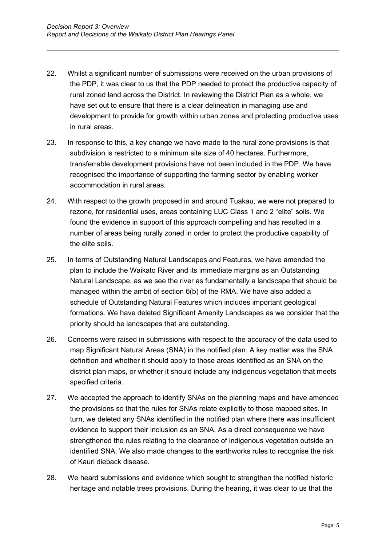- 22. Whilst a significant number of submissions were received on the urban provisions of the PDP, it was clear to us that the PDP needed to protect the productive capacity of rural zoned land across the District. In reviewing the District Plan as a whole, we have set out to ensure that there is a clear delineation in managing use and development to provide for growth within urban zones and protecting productive uses in rural areas.
- 23. In response to this, a key change we have made to the rural zone provisions is that subdivision is restricted to a minimum site size of 40 hectares. Furthermore, transferrable development provisions have not been included in the PDP. We have recognised the importance of supporting the farming sector by enabling worker accommodation in rural areas.
- 24. With respect to the growth proposed in and around Tuakau, we were not prepared to rezone, for residential uses, areas containing LUC Class 1 and 2 "elite" soils. We found the evidence in support of this approach compelling and has resulted in a number of areas being rurally zoned in order to protect the productive capability of the elite soils.
- 25. In terms of Outstanding Natural Landscapes and Features, we have amended the plan to include the Waikato River and its immediate margins as an Outstanding Natural Landscape, as we see the river as fundamentally a landscape that should be managed within the ambit of section 6(b) of the RMA. We have also added a schedule of Outstanding Natural Features which includes important geological formations. We have deleted Significant Amenity Landscapes as we consider that the priority should be landscapes that are outstanding.
- 26. Concerns were raised in submissions with respect to the accuracy of the data used to map Significant Natural Areas (SNA) in the notified plan. A key matter was the SNA definition and whether it should apply to those areas identified as an SNA on the district plan maps, or whether it should include any indigenous vegetation that meets specified criteria.
- 27. We accepted the approach to identify SNAs on the planning maps and have amended the provisions so that the rules for SNAs relate explicitly to those mapped sites. In turn, we deleted any SNAs identified in the notified plan where there was insufficient evidence to support their inclusion as an SNA. As a direct consequence we have strengthened the rules relating to the clearance of indigenous vegetation outside an identified SNA. We also made changes to the earthworks rules to recognise the risk of Kauri dieback disease.
- 28. We heard submissions and evidence which sought to strengthen the notified historic heritage and notable trees provisions. During the hearing, it was clear to us that the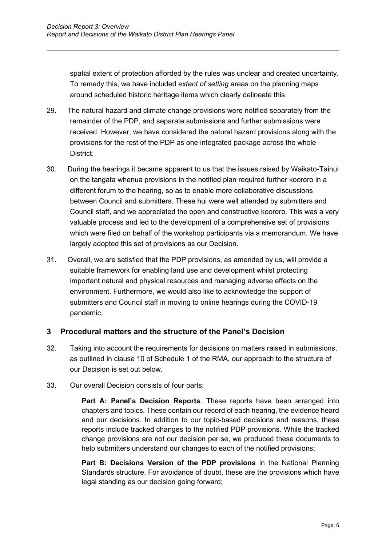spatial extent of protection afforded by the rules was unclear and created uncertainty. To remedy this, we have included *extent of setting* areas on the planning maps around scheduled historic heritage items which clearly delineate this.

- 29. The natural hazard and climate change provisions were notified separately from the remainder of the PDP, and separate submissions and further submissions were received. However, we have considered the natural hazard provisions along with the provisions for the rest of the PDP as one integrated package across the whole District.
- 30. During the hearings it became apparent to us that the issues raised by Waikato-Tainui on the tangata whenua provisions in the notified plan required further koorero in a different forum to the hearing, so as to enable more collaborative discussions between Council and submitters. These hui were well attended by submitters and Council staff, and we appreciated the open and constructive koorero. This was a very valuable process and led to the development of a comprehensive set of provisions which were filed on behalf of the workshop participants via a memorandum. We have largely adopted this set of provisions as our Decision.
- 31. Overall, we are satisfied that the PDP provisions, as amended by us, will provide a suitable framework for enabling land use and development whilst protecting important natural and physical resources and managing adverse effects on the environment. Furthermore, we would also like to acknowledge the support of submitters and Council staff in moving to online hearings during the COVID-19 pandemic.

# **3 Procedural matters and the structure of the Panel's Decision**

- 32. Taking into account the requirements for decisions on matters raised in submissions, as outlined in clause 10 of Schedule 1 of the RMA, our approach to the structure of our Decision is set out below.
- 33. Our overall Decision consists of four parts:

**Part A: Panel's Decision Reports**. These reports have been arranged into chapters and topics. These contain our record of each hearing, the evidence heard and our decisions. In addition to our topic-based decisions and reasons, these reports include tracked changes to the notified PDP provisions. While the tracked change provisions are not our decision per se, we produced these documents to help submitters understand our changes to each of the notified provisions;

**Part B: Decisions Version of the PDP provisions** in the National Planning Standards structure. For avoidance of doubt, these are the provisions which have legal standing as our decision going forward;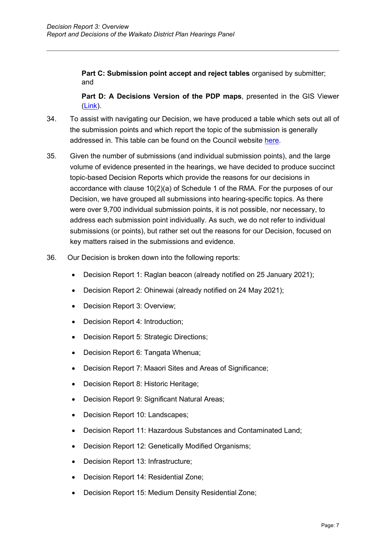Part C: Submission point accept and reject tables organised by submitter; and

**Part D: A Decisions Version of the PDP maps**, presented in the GIS Viewer  $(Link)$ .

- 34. To assist with navigating our Decision, we have produced a table which sets out all of the submission points and which report the topic of the submission is generally addressed in. This table can be found on the Council website [here.](https://www.waikatodistrict.govt.nz/your-council/plans-policies-and-bylaws/plans/waikato-district-plan/district-plan-review/decisions/proposed-waikato-district-plan)
- 35. Given the number of submissions (and individual submission points), and the large volume of evidence presented in the hearings, we have decided to produce succinct topic-based Decision Reports which provide the reasons for our decisions in accordance with clause 10(2)(a) of Schedule 1 of the RMA. For the purposes of our Decision, we have grouped all submissions into hearing-specific topics. As there were over 9,700 individual submission points, it is not possible, nor necessary, to address each submission point individually. As such, we do not refer to individual submissions (or points), but rather set out the reasons for our Decision, focused on key matters raised in the submissions and evidence.
- 36. Our Decision is broken down into the following reports:
	- Decision Report 1: Raglan beacon (already notified on 25 January 2021);
	- Decision Report 2: Ohinewai (already notified on 24 May 2021);
	- Decision Report 3: Overview;
	- Decision Report 4: Introduction;
	- Decision Report 5: Strategic Directions;
	- Decision Report 6: Tangata Whenua:
	- Decision Report 7: Maaori Sites and Areas of Significance;
	- Decision Report 8: Historic Heritage;
	- Decision Report 9: Significant Natural Areas;
	- Decision Report 10: Landscapes;
	- Decision Report 11: Hazardous Substances and Contaminated Land;
	- Decision Report 12: Genetically Modified Organisms;
	- Decision Report 13: Infrastructure;
	- Decision Report 14: Residential Zone;
	- Decision Report 15: Medium Density Residential Zone;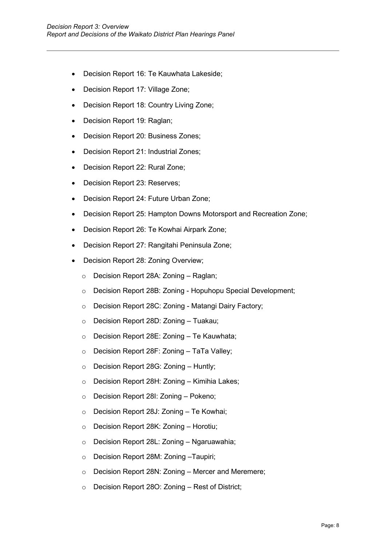- Decision Report 16: Te Kauwhata Lakeside;
- Decision Report 17: Village Zone;
- Decision Report 18: Country Living Zone;
- Decision Report 19: Raglan;
- Decision Report 20: Business Zones;
- Decision Report 21: Industrial Zones;
- Decision Report 22: Rural Zone;
- Decision Report 23: Reserves;
- Decision Report 24: Future Urban Zone;
- Decision Report 25: Hampton Downs Motorsport and Recreation Zone;
- Decision Report 26: Te Kowhai Airpark Zone;
- Decision Report 27: Rangitahi Peninsula Zone;
- Decision Report 28: Zoning Overview;
	- o Decision Report 28A: Zoning Raglan;
	- o Decision Report 28B: Zoning Hopuhopu Special Development;
	- o Decision Report 28C: Zoning Matangi Dairy Factory;
	- o Decision Report 28D: Zoning Tuakau;
	- o Decision Report 28E: Zoning Te Kauwhata;
	- o Decision Report 28F: Zoning TaTa Valley;
	- o Decision Report 28G: Zoning Huntly;
	- o Decision Report 28H: Zoning Kimihia Lakes;
	- o Decision Report 28I: Zoning Pokeno;
	- o Decision Report 28J: Zoning Te Kowhai;
	- o Decision Report 28K: Zoning Horotiu;
	- o Decision Report 28L: Zoning Ngaruawahia;
	- o Decision Report 28M: Zoning –Taupiri;
	- o Decision Report 28N: Zoning Mercer and Meremere;
	- o Decision Report 28O: Zoning Rest of District;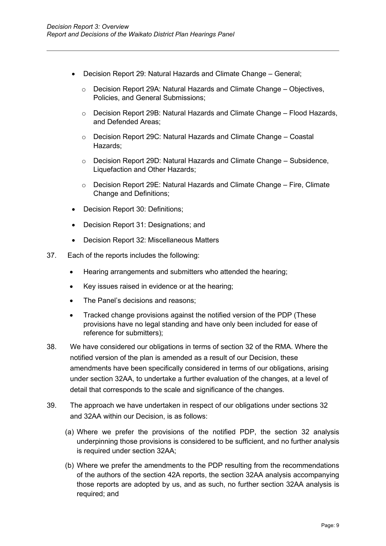- Decision Report 29: Natural Hazards and Climate Change General;
	- o Decision Report 29A: Natural Hazards and Climate Change Objectives, Policies, and General Submissions;
	- o Decision Report 29B: Natural Hazards and Climate Change Flood Hazards, and Defended Areas;
	- o Decision Report 29C: Natural Hazards and Climate Change Coastal Hazards;
	- o Decision Report 29D: Natural Hazards and Climate Change Subsidence, Liquefaction and Other Hazards;
	- o Decision Report 29E: Natural Hazards and Climate Change Fire, Climate Change and Definitions;
- Decision Report 30: Definitions;
- Decision Report 31: Designations; and
- Decision Report 32: Miscellaneous Matters
- 37. Each of the reports includes the following:
	- Hearing arrangements and submitters who attended the hearing;
	- Key issues raised in evidence or at the hearing;
	- The Panel's decisions and reasons;
	- Tracked change provisions against the notified version of the PDP (These provisions have no legal standing and have only been included for ease of reference for submitters);
- 38. We have considered our obligations in terms of section 32 of the RMA. Where the notified version of the plan is amended as a result of our Decision, these amendments have been specifically considered in terms of our obligations, arising under section 32AA, to undertake a further evaluation of the changes, at a level of detail that corresponds to the scale and significance of the changes.
- 39. The approach we have undertaken in respect of our obligations under sections 32 and 32AA within our Decision, is as follows:
	- (a) Where we prefer the provisions of the notified PDP, the section 32 analysis underpinning those provisions is considered to be sufficient, and no further analysis is required under section 32AA;
	- (b) Where we prefer the amendments to the PDP resulting from the recommendations of the authors of the section 42A reports, the section 32AA analysis accompanying those reports are adopted by us, and as such, no further section 32AA analysis is required; and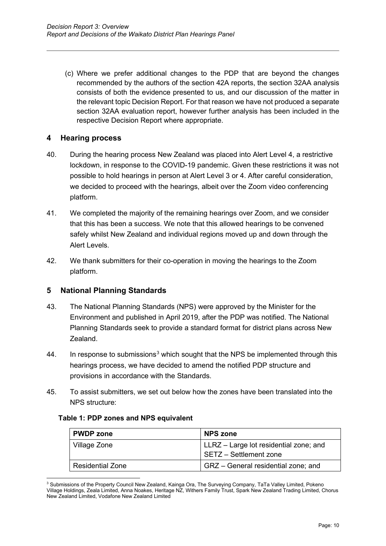(c) Where we prefer additional changes to the PDP that are beyond the changes recommended by the authors of the section 42A reports, the section 32AA analysis consists of both the evidence presented to us, and our discussion of the matter in the relevant topic Decision Report. For that reason we have not produced a separate section 32AA evaluation report, however further analysis has been included in the respective Decision Report where appropriate.

#### **4 Hearing process**

- 40. During the hearing process New Zealand was placed into Alert Level 4, a restrictive lockdown, in response to the COVID-19 pandemic. Given these restrictions it was not possible to hold hearings in person at Alert Level 3 or 4. After careful consideration, we decided to proceed with the hearings, albeit over the Zoom video conferencing platform.
- 41. We completed the majority of the remaining hearings over Zoom, and we consider that this has been a success. We note that this allowed hearings to be convened safely whilst New Zealand and individual regions moved up and down through the Alert Levels.
- 42. We thank submitters for their co-operation in moving the hearings to the Zoom platform.

# **5 National Planning Standards**

- 43. The National Planning Standards (NPS) were approved by the Minister for the Environment and published in April 2019, after the PDP was notified. The National Planning Standards seek to provide a standard format for district plans across New Zealand.
- 44. In response to submissions $^3$  $^3$  which sought that the NPS be implemented through this hearings process, we have decided to amend the notified PDP structure and provisions in accordance with the Standards.
- 45. To assist submitters, we set out below how the zones have been translated into the NPS structure:

#### **Table 1: PDP zones and NPS equivalent**

| <b>PWDP</b> zone        | <b>NPS zone</b>                                                  |
|-------------------------|------------------------------------------------------------------|
| Village Zone            | LLRZ – Large lot residential zone; and<br>SETZ - Settlement zone |
| <b>Residential Zone</b> | GRZ - General residential zone; and                              |

<span id="page-10-0"></span><sup>&</sup>lt;sup>3</sup> Submissions of the Property Council New Zealand, Kainga Ora, The Surveying Company, TaTa Valley Limited, Pokeno Village Holdings, Zeala Limited, Anna Noakes, Heritage NZ, Withers Family Trust, Spark New Zealand Trading Limited, Chorus New Zealand Limited, Vodafone New Zealand Limited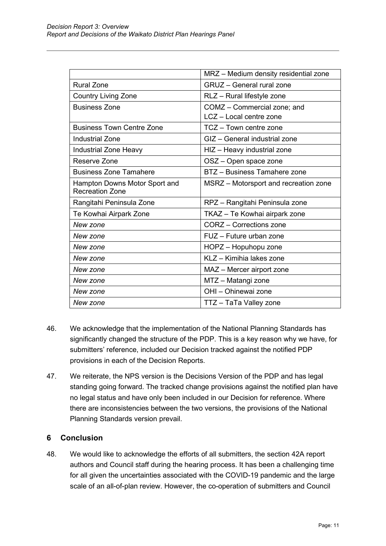|                                                         | MRZ - Medium density residential zone |
|---------------------------------------------------------|---------------------------------------|
| <b>Rural Zone</b>                                       | <b>GRUZ</b> - General rural zone      |
| <b>Country Living Zone</b>                              | RLZ - Rural lifestyle zone            |
| <b>Business Zone</b>                                    | COMZ - Commercial zone; and           |
|                                                         | LCZ - Local centre zone               |
| <b>Business Town Centre Zone</b>                        | TCZ - Town centre zone                |
| <b>Industrial Zone</b>                                  | GIZ - General industrial zone         |
| Industrial Zone Heavy                                   | HIZ - Heavy industrial zone           |
| Reserve Zone                                            | OSZ - Open space zone                 |
| <b>Business Zone Tamahere</b>                           | BTZ - Business Tamahere zone          |
| Hampton Downs Motor Sport and<br><b>Recreation Zone</b> | MSRZ - Motorsport and recreation zone |
| Rangitahi Peninsula Zone                                | RPZ - Rangitahi Peninsula zone        |
| Te Kowhai Airpark Zone                                  | TKAZ - Te Kowhai airpark zone         |
| New zone                                                | CORZ - Corrections zone               |
| New zone                                                | FUZ - Future urban zone               |
| New zone                                                | HOPZ - Hopuhopu zone                  |
| New zone                                                | KLZ - Kimihia lakes zone              |
| New zone                                                | MAZ - Mercer airport zone             |
| New zone                                                | MTZ - Matangi zone                    |
| New zone                                                | OHI - Ohinewai zone                   |
| New zone                                                | TTZ - TaTa Valley zone                |

- 46. We acknowledge that the implementation of the National Planning Standards has significantly changed the structure of the PDP. This is a key reason why we have, for submitters' reference, included our Decision tracked against the notified PDP provisions in each of the Decision Reports.
- 47. We reiterate, the NPS version is the Decisions Version of the PDP and has legal standing going forward. The tracked change provisions against the notified plan have no legal status and have only been included in our Decision for reference. Where there are inconsistencies between the two versions, the provisions of the National Planning Standards version prevail.

# **6 Conclusion**

48. We would like to acknowledge the efforts of all submitters, the section 42A report authors and Council staff during the hearing process. It has been a challenging time for all given the uncertainties associated with the COVID-19 pandemic and the large scale of an all-of-plan review. However, the co-operation of submitters and Council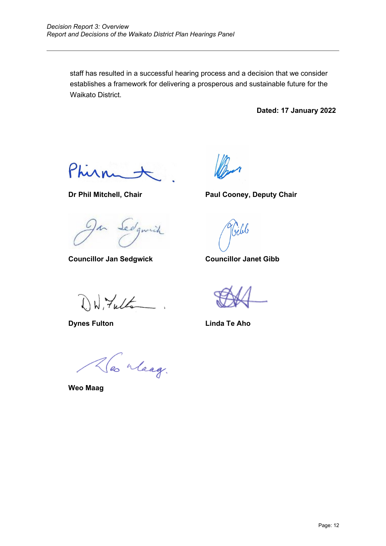staff has resulted in a successful hearing process and a decision that we consider establishes a framework for delivering a prosperous and sustainable future for the Waikato District.

**Dated: 17 January 2022** 

Phirm

**Dr Phil Mitchell, Chair Paul Cooney, Deputy Chair**

Sedgmich

**Councillor Jan Sedgwick Councillor Janet Gibb**

Jill

DW, Fulta

**Dynes Fulton Linda Te Aho**

Hes Maag.

**Weo Maag**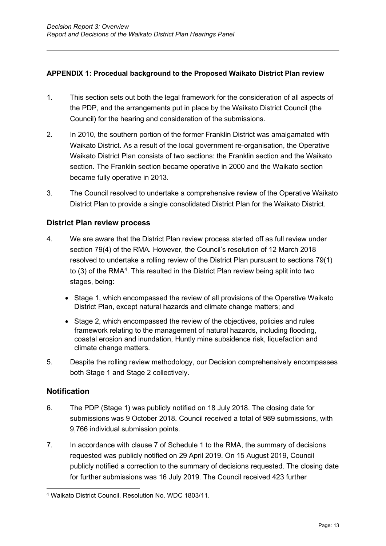## **APPENDIX 1: Procedual background to the Proposed Waikato District Plan review**

- 1. This section sets out both the legal framework for the consideration of all aspects of the PDP, and the arrangements put in place by the Waikato District Council (the Council) for the hearing and consideration of the submissions.
- 2. In 2010, the southern portion of the former Franklin District was amalgamated with Waikato District. As a result of the local government re-organisation, the Operative Waikato District Plan consists of two sections: the Franklin section and the Waikato section. The Franklin section became operative in 2000 and the Waikato section became fully operative in 2013.
- 3. The Council resolved to undertake a comprehensive review of the Operative Waikato District Plan to provide a single consolidated District Plan for the Waikato District.

## **District Plan review process**

- 4. We are aware that the District Plan review process started off as full review under section 79(4) of the RMA. However, the Council's resolution of 12 March 2018 resolved to undertake a rolling review of the District Plan pursuant to sections 79(1) to (3) of the RMA<sup>[4](#page-13-0)</sup>. This resulted in the District Plan review being split into two stages, being:
	- Stage 1, which encompassed the review of all provisions of the Operative Waikato District Plan, except natural hazards and climate change matters; and
	- Stage 2, which encompassed the review of the objectives, policies and rules framework relating to the management of natural hazards, including flooding, coastal erosion and inundation, Huntly mine subsidence risk, liquefaction and climate change matters.
- 5. Despite the rolling review methodology, our Decision comprehensively encompasses both Stage 1 and Stage 2 collectively.

#### **Notification**

- 6. The PDP (Stage 1) was publicly notified on 18 July 2018. The closing date for submissions was 9 October 2018. Council received a total of 989 submissions, with 9,766 individual submission points.
- 7. In accordance with clause 7 of Schedule 1 to the RMA, the summary of decisions requested was publicly notified on 29 April 2019. On 15 August 2019, Council publicly notified a correction to the summary of decisions requested. The closing date for further submissions was 16 July 2019. The Council received 423 further

<span id="page-13-0"></span><sup>4</sup> Waikato District Council, Resolution No. WDC 1803/11.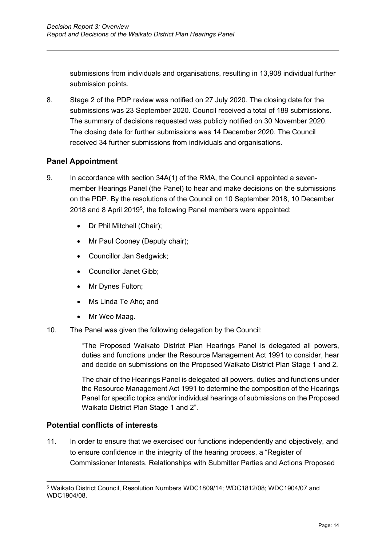submissions from individuals and organisations, resulting in 13,908 individual further submission points.

8. Stage 2 of the PDP review was notified on 27 July 2020. The closing date for the submissions was 23 September 2020. Council received a total of 189 submissions. The summary of decisions requested was publicly notified on 30 November 2020. The closing date for further submissions was 14 December 2020. The Council received 34 further submissions from individuals and organisations.

# **Panel Appointment**

- 9. In accordance with section 34A(1) of the RMA, the Council appointed a sevenmember Hearings Panel (the Panel) to hear and make decisions on the submissions on the PDP. By the resolutions of the Council on 10 September 2018, 10 December 2018 and 8 April 2019<sup>[5](#page-14-0)</sup>, the following Panel members were appointed:
	- Dr Phil Mitchell (Chair);
	- Mr Paul Cooney (Deputy chair);
	- Councillor Jan Sedgwick;
	- Councillor Janet Gibb;
	- Mr Dynes Fulton;
	- Ms Linda Te Aho; and
	- Mr Weo Maag.
- 10. The Panel was given the following delegation by the Council:

"The Proposed Waikato District Plan Hearings Panel is delegated all powers, duties and functions under the Resource Management Act 1991 to consider, hear and decide on submissions on the Proposed Waikato District Plan Stage 1 and 2.

The chair of the Hearings Panel is delegated all powers, duties and functions under the Resource Management Act 1991 to determine the composition of the Hearings Panel for specific topics and/or individual hearings of submissions on the Proposed Waikato District Plan Stage 1 and 2".

# **Potential conflicts of interests**

11. In order to ensure that we exercised our functions independently and objectively, and to ensure confidence in the integrity of the hearing process, a "Register of Commissioner Interests, Relationships with Submitter Parties and Actions Proposed

<span id="page-14-0"></span><sup>5</sup> Waikato District Council, Resolution Numbers WDC1809/14; WDC1812/08; WDC1904/07 and WDC1904/08.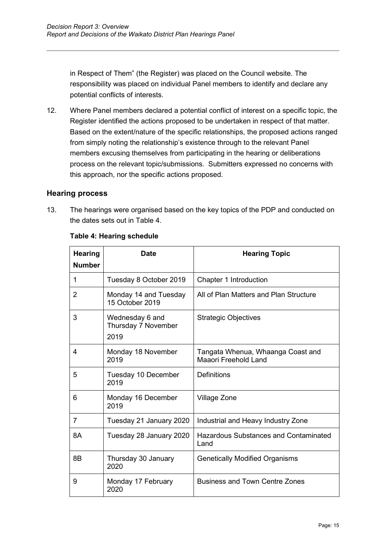in Respect of Them" (the Register) was placed on the Council website. The responsibility was placed on individual Panel members to identify and declare any potential conflicts of interests.

12. Where Panel members declared a potential conflict of interest on a specific topic, the Register identified the actions proposed to be undertaken in respect of that matter. Based on the extent/nature of the specific relationships, the proposed actions ranged from simply noting the relationship's existence through to the relevant Panel members excusing themselves from participating in the hearing or deliberations process on the relevant topic/submissions. Submitters expressed no concerns with this approach, nor the specific actions proposed.

## **Hearing process**

13. The hearings were organised based on the key topics of the PDP and conducted on the dates sets out in Table 4.

| <b>Hearing</b><br><b>Number</b> | <b>Date</b>                                    | <b>Hearing Topic</b>                                      |
|---------------------------------|------------------------------------------------|-----------------------------------------------------------|
| 1                               | Tuesday 8 October 2019                         | Chapter 1 Introduction                                    |
| 2                               | Monday 14 and Tuesday<br>15 October 2019       | All of Plan Matters and Plan Structure                    |
| 3                               | Wednesday 6 and<br>Thursday 7 November<br>2019 | <b>Strategic Objectives</b>                               |
| 4                               | Monday 18 November<br>2019                     | Tangata Whenua, Whaanga Coast and<br>Maaori Freehold Land |
| 5                               | Tuesday 10 December<br>2019                    | <b>Definitions</b>                                        |
| 6                               | Monday 16 December<br>2019                     | Village Zone                                              |
| $\overline{7}$                  | Tuesday 21 January 2020                        | Industrial and Heavy Industry Zone                        |
| 8A                              | Tuesday 28 January 2020                        | Hazardous Substances and Contaminated<br>Land             |
| 8B                              | Thursday 30 January<br>2020                    | <b>Genetically Modified Organisms</b>                     |
| 9                               | Monday 17 February<br>2020                     | <b>Business and Town Centre Zones</b>                     |

#### **Table 4: Hearing schedule**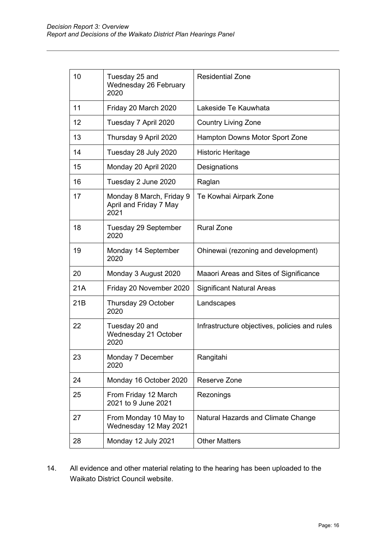| 10  | Tuesday 25 and<br>Wednesday 26 February<br>2020            | <b>Residential Zone</b>                       |
|-----|------------------------------------------------------------|-----------------------------------------------|
| 11  | Friday 20 March 2020                                       | Lakeside Te Kauwhata                          |
| 12  | Tuesday 7 April 2020                                       | <b>Country Living Zone</b>                    |
| 13  | Thursday 9 April 2020                                      | Hampton Downs Motor Sport Zone                |
| 14  | Tuesday 28 July 2020                                       | <b>Historic Heritage</b>                      |
| 15  | Monday 20 April 2020                                       | Designations                                  |
| 16  | Tuesday 2 June 2020                                        | Raglan                                        |
| 17  | Monday 8 March, Friday 9<br>April and Friday 7 May<br>2021 | Te Kowhai Airpark Zone                        |
| 18  | Tuesday 29 September<br>2020                               | <b>Rural Zone</b>                             |
| 19  | Monday 14 September<br>2020                                | Ohinewai (rezoning and development)           |
| 20  | Monday 3 August 2020                                       | Maaori Areas and Sites of Significance        |
| 21A | Friday 20 November 2020                                    | <b>Significant Natural Areas</b>              |
| 21B | Thursday 29 October<br>2020                                | Landscapes                                    |
| 22  | Tuesday 20 and<br>Wednesday 21 October<br>2020             | Infrastructure objectives, policies and rules |
| 23  | Monday 7 December<br>2020                                  | Rangitahi                                     |
| 24  | Monday 16 October 2020                                     | Reserve Zone                                  |
| 25  | From Friday 12 March<br>2021 to 9 June 2021                | Rezonings                                     |
| 27  | From Monday 10 May to<br>Wednesday 12 May 2021             | Natural Hazards and Climate Change            |
| 28  | Monday 12 July 2021                                        | <b>Other Matters</b>                          |

14. All evidence and other material relating to the hearing has been uploaded to the Waikato District Council website.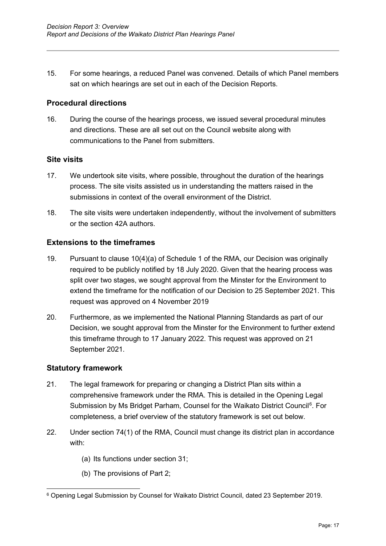15. For some hearings, a reduced Panel was convened. Details of which Panel members sat on which hearings are set out in each of the Decision Reports.

#### **Procedural directions**

16. During the course of the hearings process, we issued several procedural minutes and directions. These are all set out on the Council website along with communications to the Panel from submitters.

#### **Site visits**

- 17. We undertook site visits, where possible, throughout the duration of the hearings process. The site visits assisted us in understanding the matters raised in the submissions in context of the overall environment of the District.
- 18. The site visits were undertaken independently, without the involvement of submitters or the section 42A authors.

#### **Extensions to the timeframes**

- 19. Pursuant to clause 10(4)(a) of Schedule 1 of the RMA, our Decision was originally required to be publicly notified by 18 July 2020. Given that the hearing process was split over two stages, we sought approval from the Minster for the Environment to extend the timeframe for the notification of our Decision to 25 September 2021. This request was approved on 4 November 2019
- 20. Furthermore, as we implemented the National Planning Standards as part of our Decision, we sought approval from the Minster for the Environment to further extend this timeframe through to 17 January 2022. This request was approved on 21 September 2021.

#### **Statutory framework**

- 21. The legal framework for preparing or changing a District Plan sits within a comprehensive framework under the RMA. This is detailed in the Opening Legal Submission by Ms Bridget Parham, Counsel for the Waikato District Council<sup>[6](#page-17-0)</sup>. For completeness, a brief overview of the statutory framework is set out below.
- 22. Under section 74(1) of the RMA, Council must change its district plan in accordance with:
	- (a) Its functions under section 31;
	- (b) The provisions of Part 2;

<span id="page-17-0"></span><sup>6</sup> Opening Legal Submission by Counsel for Waikato District Council, dated 23 September 2019.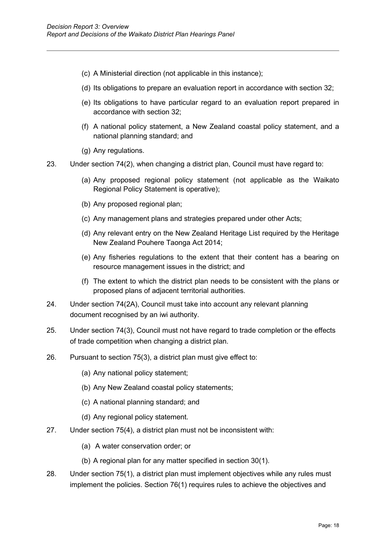- (c) A Ministerial direction (not applicable in this instance);
- (d) Its obligations to prepare an evaluation report in accordance with section 32;
- (e) Its obligations to have particular regard to an evaluation report prepared in accordance with section 32;
- (f) A national policy statement, a New Zealand coastal policy statement, and a national planning standard; and
- (g) Any regulations.
- 23. Under section 74(2), when changing a district plan, Council must have regard to:
	- (a) Any proposed regional policy statement (not applicable as the Waikato Regional Policy Statement is operative);
	- (b) Any proposed regional plan;
	- (c) Any management plans and strategies prepared under other Acts;
	- (d) Any relevant entry on the New Zealand Heritage List required by the Heritage New Zealand Pouhere Taonga Act 2014;
	- (e) Any fisheries regulations to the extent that their content has a bearing on resource management issues in the district; and
	- (f) The extent to which the district plan needs to be consistent with the plans or proposed plans of adjacent territorial authorities.
- 24. Under section 74(2A), Council must take into account any relevant planning document recognised by an iwi authority.
- 25. Under section 74(3), Council must not have regard to trade completion or the effects of trade competition when changing a district plan.
- 26. Pursuant to section 75(3), a district plan must give effect to:
	- (a) Any national policy statement;
	- (b) Any New Zealand coastal policy statements;
	- (c) A national planning standard; and
	- (d) Any regional policy statement.
- 27. Under section 75(4), a district plan must not be inconsistent with:
	- (a) A water conservation order; or
	- (b) A regional plan for any matter specified in section 30(1).
- 28. Under section 75(1), a district plan must implement objectives while any rules must implement the policies. Section 76(1) requires rules to achieve the objectives and